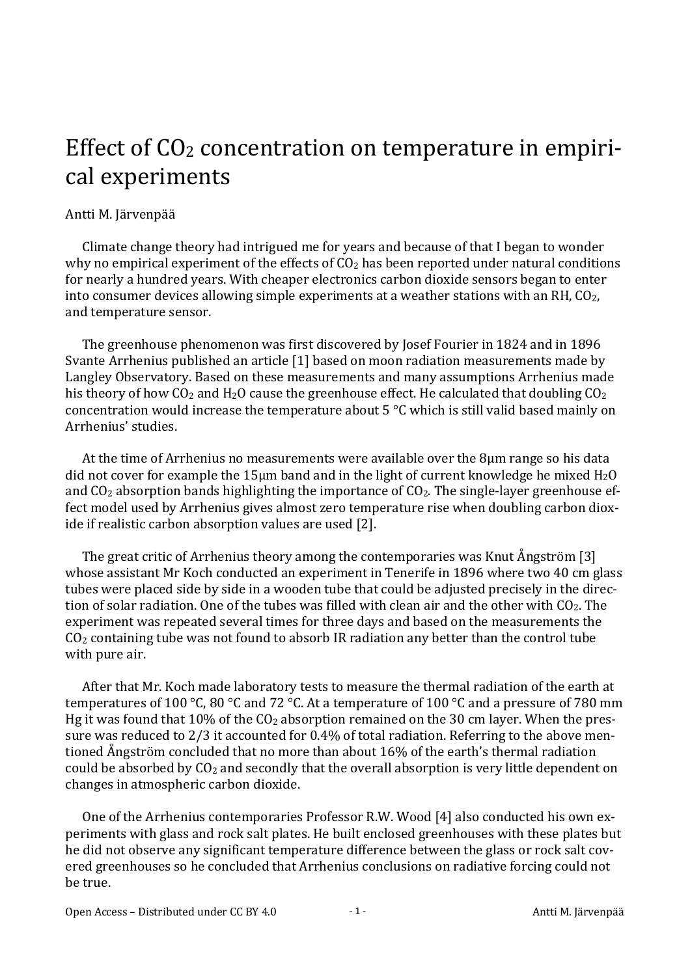## Effect of  $CO<sub>2</sub>$  concentration on temperature in empirical experiments

## Antti M. Järvenpää

Climate change theory had intrigued me for years and because of that I began to wonder why no empirical experiment of the effects of  $CO<sub>2</sub>$  has been reported under natural conditions for nearly a hundred years. With cheaper electronics carbon dioxide sensors began to enter into consumer devices allowing simple experiments at a weather stations with an RH,  $CO<sub>2</sub>$ , and temperature sensor.

The greenhouse phenomenon was first discovered by Josef Fourier in 1824 and in 1896 Svante Arrhenius published an article [1] based on moon radiation measurements made by Langley Observatory. Based on these measurements and many assumptions Arrhenius made his theory of how  $CO_2$  and  $H_2O$  cause the greenhouse effect. He calculated that doubling  $CO_2$ concentration would increase the temperature about  $5^{\circ}$ C which is still valid based mainly on Arrhenius' studies. 

At the time of Arrhenius no measurements were available over the  $8\mu$ m range so his data did not cover for example the 15 µm band and in the light of current knowledge he mixed  $\text{H}_2\text{O}$ and  $CO<sub>2</sub>$  absorption bands highlighting the importance of  $CO<sub>2</sub>$ . The single-layer greenhouse effect model used by Arrhenius gives almost zero temperature rise when doubling carbon dioxide if realistic carbon absorption values are used [2].

The great critic of Arrhenius theory among the contemporaries was Knut Ångström [3] whose assistant Mr Koch conducted an experiment in Tenerife in 1896 where two 40 cm glass tubes were placed side by side in a wooden tube that could be adjusted precisely in the direction of solar radiation. One of the tubes was filled with clean air and the other with  $CO<sub>2</sub>$ . The experiment was repeated several times for three days and based on the measurements the  $CO<sub>2</sub>$  containing tube was not found to absorb IR radiation any better than the control tube with pure air.

After that Mr. Koch made laboratory tests to measure the thermal radiation of the earth at temperatures of 100 °C, 80 °C and 72 °C. At a temperature of 100 °C and a pressure of 780 mm Hg it was found that  $10\%$  of the  $CO<sub>2</sub>$  absorption remained on the 30 cm layer. When the pressure was reduced to 2/3 it accounted for 0.4% of total radiation. Referring to the above mentioned Ångström concluded that no more than about 16% of the earth's thermal radiation could be absorbed by  $CO<sub>2</sub>$  and secondly that the overall absorption is very little dependent on changes in atmospheric carbon dioxide.

One of the Arrhenius contemporaries Professor R.W. Wood [4] also conducted his own experiments with glass and rock salt plates. He built enclosed greenhouses with these plates but he did not observe any significant temperature difference between the glass or rock salt covered greenhouses so he concluded that Arrhenius conclusions on radiative forcing could not be true.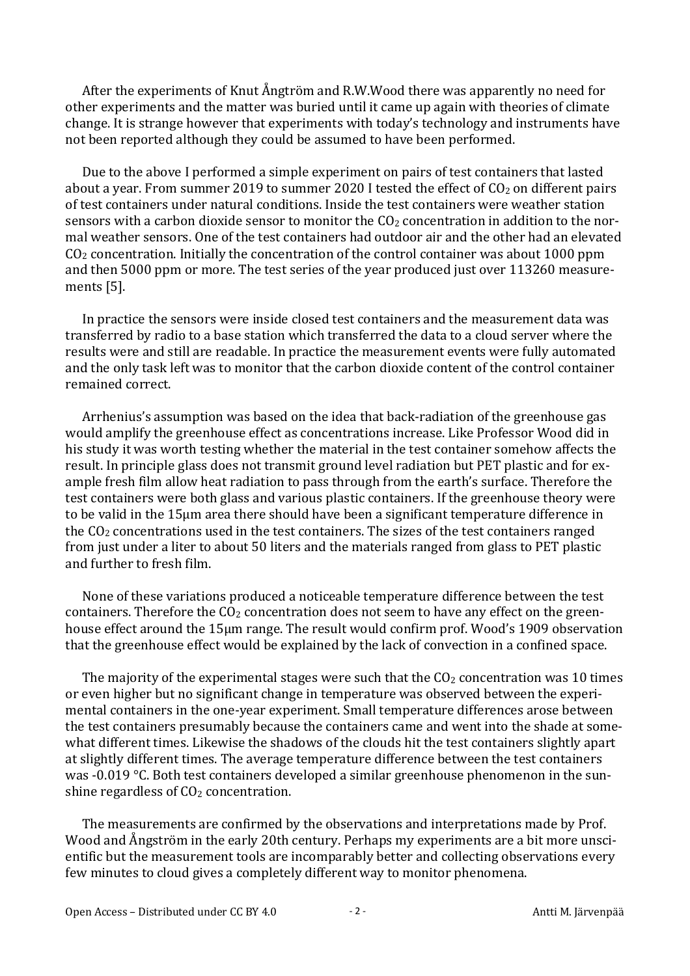After the experiments of Knut Ångtröm and R.W.Wood there was apparently no need for other experiments and the matter was buried until it came up again with theories of climate change. It is strange however that experiments with today's technology and instruments have not been reported although they could be assumed to have been performed.

Due to the above I performed a simple experiment on pairs of test containers that lasted about a year. From summer 2019 to summer 2020 I tested the effect of  $CO<sub>2</sub>$  on different pairs of test containers under natural conditions. Inside the test containers were weather station sensors with a carbon dioxide sensor to monitor the  $CO<sub>2</sub>$  concentration in addition to the normal weather sensors. One of the test containers had outdoor air and the other had an elevated  $CO<sub>2</sub>$  concentration. Initially the concentration of the control container was about 1000 ppm and then 5000 ppm or more. The test series of the year produced just over 113260 measurements [5].

In practice the sensors were inside closed test containers and the measurement data was transferred by radio to a base station which transferred the data to a cloud server where the results were and still are readable. In practice the measurement events were fully automated and the only task left was to monitor that the carbon dioxide content of the control container remained correct.

Arrhenius's assumption was based on the idea that back-radiation of the greenhouse gas would amplify the greenhouse effect as concentrations increase. Like Professor Wood did in his study it was worth testing whether the material in the test container somehow affects the result. In principle glass does not transmit ground level radiation but PET plastic and for example fresh film allow heat radiation to pass through from the earth's surface. Therefore the test containers were both glass and various plastic containers. If the greenhouse theory were to be valid in the 15um area there should have been a significant temperature difference in the  $CO<sub>2</sub>$  concentrations used in the test containers. The sizes of the test containers ranged from just under a liter to about 50 liters and the materials ranged from glass to PET plastic and further to fresh film.

None of these variations produced a noticeable temperature difference between the test containers. Therefore the  $CO<sub>2</sub>$  concentration does not seem to have any effect on the greenhouse effect around the 15μm range. The result would confirm prof. Wood's 1909 observation that the greenhouse effect would be explained by the lack of convection in a confined space.

The majority of the experimental stages were such that the  $CO<sub>2</sub>$  concentration was 10 times or even higher but no significant change in temperature was observed between the experimental containers in the one-year experiment. Small temperature differences arose between the test containers presumably because the containers came and went into the shade at somewhat different times. Likewise the shadows of the clouds hit the test containers slightly apart at slightly different times. The average temperature difference between the test containers was -0.019  $\degree$ C. Both test containers developed a similar greenhouse phenomenon in the sunshine regardless of  $CO<sub>2</sub>$  concentration.

The measurements are confirmed by the observations and interpretations made by Prof. Wood and Ångström in the early 20th century. Perhaps my experiments are a bit more unscientific but the measurement tools are incomparably better and collecting observations every few minutes to cloud gives a completely different way to monitor phenomena.